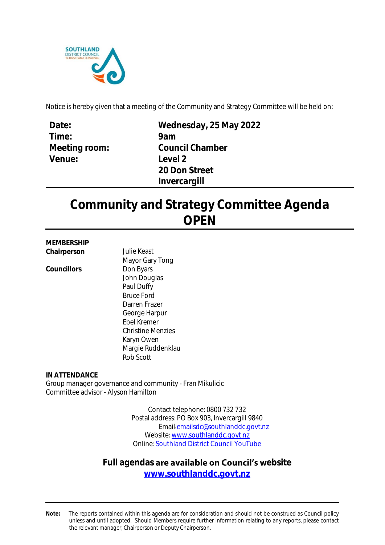

Notice is hereby given that a meeting of the Community and Strategy Committee will be held on:

| Date:         |
|---------------|
| Time:         |
| Meeting room: |
| Venue:        |
|               |

**Wednesday, 25 May 2022 9am Council Chamber Level 2 20 Don Street Invercargill**

# **Community and Strategy Committee Agenda OPEN**

#### **MEMBERSHIP Chairperson** Julie Keast

Councillors **Don Byars** 

Mayor Gary Tong John Douglas Paul Duffy Bruce Ford Darren Frazer George Harpur Ebel Kremer Christine Menzies Karyn Owen Margie Ruddenklau Rob Scott

**IN ATTENDANCE** Group manager governance and community - Fran Mikulicic Committee advisor - Alyson Hamilton

> Contact telephone: 0800 732 732 Postal address: PO Box 903, Invercargill 9840 Email: [emailsdc@southlanddc.govt.nz](mailto:emailsdc@southlanddc.govt.nz) Website[: www.southlanddc.govt.nz](http://www.southlanddc.govt.nz/) Online: [Southland District Council YouTube](https://www.youtube.com/channel/UCpO3JGaJAQpQzYbapwx7FLw/videos)

# Full agendas are available on **Council's** website

**[www.southlanddc.govt.nz](https://www.southlanddc.govt.nz/my-council/meeting-schedule-and-agendas/)**

**Note:** The reports contained within this agenda are for consideration and should not be construed as Council policy unless and until adopted. Should Members require further information relating to any reports, please contact the relevant manager, Chairperson or Deputy Chairperson.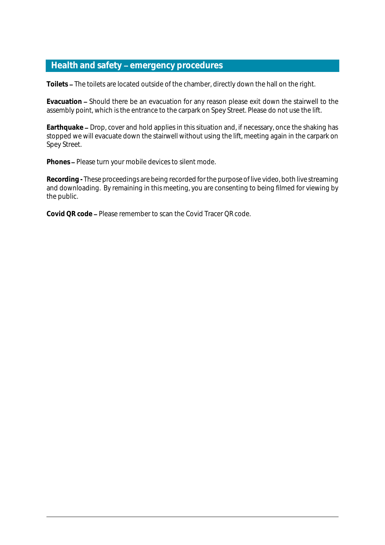# **Health and safety emergency procedures**

**Toilets** The toilets are located outside of the chamber, directly down the hall on the right.

Evacuation – Should there be an evacuation for any reason please exit down the stairwell to the assembly point, which is the entrance to the carpark on Spey Street. Please do not use the lift.

Earthquake – Drop, cover and hold applies in this situation and, if necessary, once the shaking has stopped we will evacuate down the stairwell without using the lift, meeting again in the carpark on Spey Street.

Phones - Please turn your mobile devices to silent mode.

**Recording -** These proceedings are being recorded for the purpose of live video, both live streaming and downloading. By remaining in this meeting, you are consenting to being filmed for viewing by the public.

**Covid QR code** Please remember to scan the Covid Tracer QR code.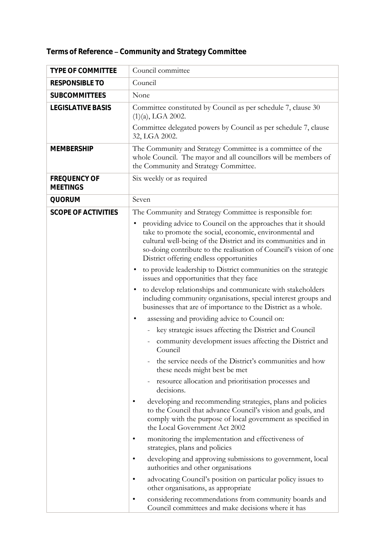| <b>TYPE OF COMMITTEE</b>        | Council committee                                                                                                                                                                                                                                                                                         |
|---------------------------------|-----------------------------------------------------------------------------------------------------------------------------------------------------------------------------------------------------------------------------------------------------------------------------------------------------------|
| RESPONSIBLE TO                  | Council                                                                                                                                                                                                                                                                                                   |
| SUBCOMMITTEES                   | None                                                                                                                                                                                                                                                                                                      |
| <b>LEGISLATIVE BASIS</b>        | Committee constituted by Council as per schedule 7, clause 30<br>$(1)(a)$ , LGA 2002.                                                                                                                                                                                                                     |
|                                 | Committee delegated powers by Council as per schedule 7, clause<br>32, LGA 2002.                                                                                                                                                                                                                          |
| <b>MEMBERSHIP</b>               | The Community and Strategy Committee is a committee of the<br>whole Council. The mayor and all councillors will be members of<br>the Community and Strategy Committee.                                                                                                                                    |
| FREQUENCY OF<br><b>MEETINGS</b> | Six weekly or as required                                                                                                                                                                                                                                                                                 |
| QUORUM                          | Seven                                                                                                                                                                                                                                                                                                     |
| <b>SCOPE OF ACTIVITIES</b>      | The Community and Strategy Committee is responsible for:                                                                                                                                                                                                                                                  |
|                                 | providing advice to Council on the approaches that it should<br>take to promote the social, economic, environmental and<br>cultural well-being of the District and its communities and in<br>so-doing contribute to the realisation of Council's vision of one<br>District offering endless opportunities |
|                                 | to provide leadership to District communities on the strategic<br>issues and opportunities that they face                                                                                                                                                                                                 |
|                                 | to develop relationships and communicate with stakeholders<br>including community organisations, special interest groups and<br>businesses that are of importance to the District as a whole.                                                                                                             |
|                                 | assessing and providing advice to Council on:<br>٠                                                                                                                                                                                                                                                        |
|                                 | key strategic issues affecting the District and Council                                                                                                                                                                                                                                                   |
|                                 | community development issues affecting the District and<br>Council                                                                                                                                                                                                                                        |
|                                 | the service needs of the District's communities and how<br>these needs might best be met                                                                                                                                                                                                                  |
|                                 | resource allocation and prioritisation processes and<br>decisions.                                                                                                                                                                                                                                        |
|                                 | developing and recommending strategies, plans and policies<br>to the Council that advance Council's vision and goals, and<br>comply with the purpose of local government as specified in<br>the Local Government Act 2002                                                                                 |
|                                 | monitoring the implementation and effectiveness of<br>٠<br>strategies, plans and policies                                                                                                                                                                                                                 |
|                                 | developing and approving submissions to government, local<br>٠<br>authorities and other organisations                                                                                                                                                                                                     |
|                                 | advocating Council's position on particular policy issues to<br>٠<br>other organisations, as appropriate                                                                                                                                                                                                  |
|                                 | considering recommendations from community boards and<br>Council committees and make decisions where it has                                                                                                                                                                                               |

Terms of Reference - Community and Strategy Committee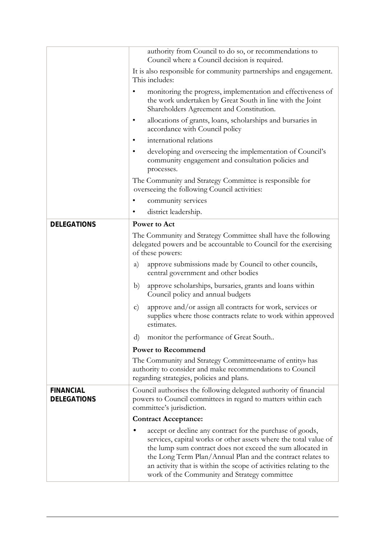|                                 | authority from Council to do so, or recommendations to<br>Council where a Council decision is required.                                                                                                                                                                                                                                                                         |
|---------------------------------|---------------------------------------------------------------------------------------------------------------------------------------------------------------------------------------------------------------------------------------------------------------------------------------------------------------------------------------------------------------------------------|
|                                 | It is also responsible for community partnerships and engagement.<br>This includes:                                                                                                                                                                                                                                                                                             |
|                                 | monitoring the progress, implementation and effectiveness of<br>the work undertaken by Great South in line with the Joint<br>Shareholders Agreement and Constitution.                                                                                                                                                                                                           |
|                                 | allocations of grants, loans, scholarships and bursaries in<br>$\bullet$<br>accordance with Council policy                                                                                                                                                                                                                                                                      |
|                                 | international relations<br>$\bullet$                                                                                                                                                                                                                                                                                                                                            |
|                                 | developing and overseeing the implementation of Council's<br>$\bullet$<br>community engagement and consultation policies and                                                                                                                                                                                                                                                    |
|                                 | processes.<br>The Community and Strategy Committee is responsible for                                                                                                                                                                                                                                                                                                           |
|                                 | overseeing the following Council activities:                                                                                                                                                                                                                                                                                                                                    |
|                                 | community services                                                                                                                                                                                                                                                                                                                                                              |
|                                 | district leadership.<br>$\bullet$                                                                                                                                                                                                                                                                                                                                               |
| <b>DELEGATIONS</b>              | Power to Act                                                                                                                                                                                                                                                                                                                                                                    |
|                                 | The Community and Strategy Committee shall have the following<br>delegated powers and be accountable to Council for the exercising<br>of these powers:                                                                                                                                                                                                                          |
|                                 | approve submissions made by Council to other councils,<br>a)<br>central government and other bodies                                                                                                                                                                                                                                                                             |
|                                 | approve scholarships, bursaries, grants and loans within<br>b)<br>Council policy and annual budgets                                                                                                                                                                                                                                                                             |
|                                 | approve and/or assign all contracts for work, services or<br>$\mathbf{c})$<br>supplies where those contracts relate to work within approved<br>estimates.                                                                                                                                                                                                                       |
|                                 | monitor the performance of Great South<br>$\rm d$                                                                                                                                                                                                                                                                                                                               |
|                                 | <b>Power to Recommend</b>                                                                                                                                                                                                                                                                                                                                                       |
|                                 | The Community and Strategy Committee mame of entity has<br>authority to consider and make recommendations to Council<br>regarding strategies, policies and plans.                                                                                                                                                                                                               |
| <b>FINANCIAL</b><br>DELEGATIONS | Council authorises the following delegated authority of financial<br>powers to Council committees in regard to matters within each<br>committee's jurisdiction.                                                                                                                                                                                                                 |
|                                 | <b>Contract Acceptance:</b>                                                                                                                                                                                                                                                                                                                                                     |
|                                 | accept or decline any contract for the purchase of goods,<br>services, capital works or other assets where the total value of<br>the lump sum contract does not exceed the sum allocated in<br>the Long Term Plan/Annual Plan and the contract relates to<br>an activity that is within the scope of activities relating to the<br>work of the Community and Strategy committee |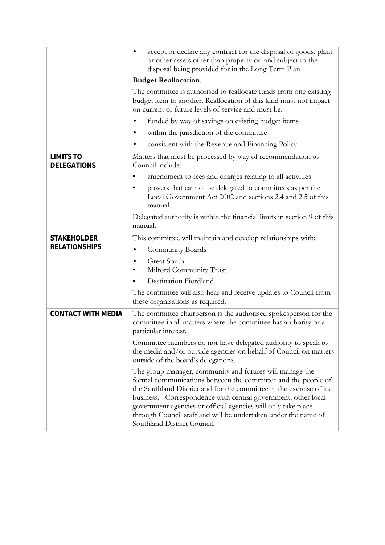|                                        | accept or decline any contract for the disposal of goods, plant<br>٠<br>or other assets other than property or land subject to the<br>disposal being provided for in the Long Term Plan                                                                                                                                                                                                                                             |
|----------------------------------------|-------------------------------------------------------------------------------------------------------------------------------------------------------------------------------------------------------------------------------------------------------------------------------------------------------------------------------------------------------------------------------------------------------------------------------------|
|                                        | <b>Budget Reallocation.</b>                                                                                                                                                                                                                                                                                                                                                                                                         |
|                                        | The committee is authorised to reallocate funds from one existing<br>budget item to another. Reallocation of this kind must not impact<br>on current or future levels of service and must be:                                                                                                                                                                                                                                       |
|                                        | funded by way of savings on existing budget items                                                                                                                                                                                                                                                                                                                                                                                   |
|                                        | within the jurisdiction of the committee                                                                                                                                                                                                                                                                                                                                                                                            |
|                                        | consistent with the Revenue and Financing Policy                                                                                                                                                                                                                                                                                                                                                                                    |
| <b>LIMITS TO</b><br><b>DELEGATIONS</b> | Matters that must be processed by way of recommendation to<br>Council include:                                                                                                                                                                                                                                                                                                                                                      |
|                                        | amendment to fees and charges relating to all activities                                                                                                                                                                                                                                                                                                                                                                            |
|                                        | powers that cannot be delegated to committees as per the<br>$\bullet$<br>Local Government Act 2002 and sections 2.4 and 2.5 of this<br>manual.                                                                                                                                                                                                                                                                                      |
|                                        | Delegated authority is within the financial limits in section 9 of this<br>manual.                                                                                                                                                                                                                                                                                                                                                  |
| <b>STAKEHOLDER</b>                     | This committee will maintain and develop relationships with:                                                                                                                                                                                                                                                                                                                                                                        |
| <b>RELATIONSHIPS</b>                   | Community Boards                                                                                                                                                                                                                                                                                                                                                                                                                    |
|                                        | Great South<br>٠<br>Milford Community Trust<br>٠                                                                                                                                                                                                                                                                                                                                                                                    |
|                                        | Destination Fiordland.<br>$\bullet$                                                                                                                                                                                                                                                                                                                                                                                                 |
|                                        | The committee will also hear and receive updates to Council from<br>these organisations as required.                                                                                                                                                                                                                                                                                                                                |
| CONTACT WITH MEDIA                     | The committee chairperson is the authorised spokesperson for the<br>committee in all matters where the committee has authority or a<br>particular interest.                                                                                                                                                                                                                                                                         |
|                                        | Committee members do not have delegated authority to speak to<br>the media and/or outside agencies on behalf of Council on matters<br>outside of the board's delegations.                                                                                                                                                                                                                                                           |
|                                        | The group manager, community and futures will manage the<br>formal communications between the committee and the people of<br>the Southland District and for the committee in the exercise of its<br>business. Correspondence with central government, other local<br>government agencies or official agencies will only take place<br>through Council staff and will be undertaken under the name of<br>Southland District Council. |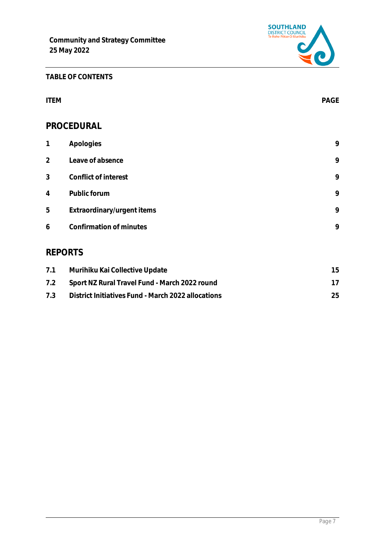

# **TABLE OF CONTENTS**

| <b>ITEM</b>    |                            | PAGE |
|----------------|----------------------------|------|
|                | PROCEDURAL                 |      |
| $\mathbf{1}$   | Apologies                  | 9    |
| $\overline{2}$ | Leave of absence           | 9    |
| 3              | Conflict of interest       | 9    |
| 4              | Public forum               | 9    |
| 5              | Extraordinary/urgent items | 9    |
| 6              | Confirmation of minutes    | 9    |
| <b>REPORTS</b> |                            |      |

| 7.1 | Murihiku Kai Collective Update                     | 15 |
|-----|----------------------------------------------------|----|
| 7.2 | Sport NZ Rural Travel Fund - March 2022 round      |    |
| 7.3 | District Initiatives Fund - March 2022 allocations | 25 |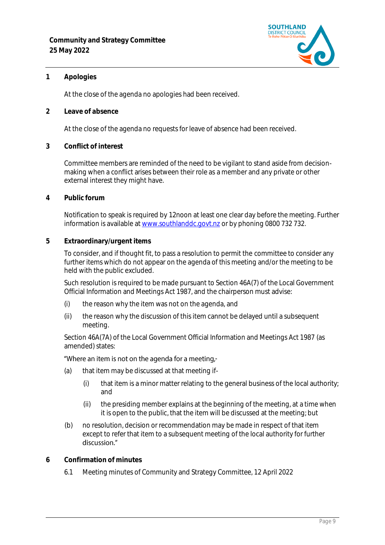

### <span id="page-8-0"></span>**1 Apologies**

At the close of the agenda no apologies had been received.

<span id="page-8-1"></span>**2 Leave of absence** 

At the close of the agenda no requests for leave of absence had been received.

<span id="page-8-2"></span>**3 Conflict of interest**

Committee members are reminded of the need to be vigilant to stand aside from decisionmaking when a conflict arises between their role as a member and any private or other external interest they might have.

<span id="page-8-3"></span>**4 Public forum**

Notification to speak is required by 12noon at least one clear day before the meeting. Further information is available at [www.southlanddc.govt.nz](http://www.southlanddc.govt.nz/) or by phoning 0800 732 732.

<span id="page-8-4"></span>**5 Extraordinary/urgent items**

To consider, and if thought fit, to pass a resolution to permit the committee to consider any further items which do not appear on the agenda of this meeting and/or the meeting to be held with the public excluded.

Such resolution is required to be made pursuant to Section 46A(7) of the Local Government Official Information and Meetings Act 1987, and the chairperson must advise:

- (i) the reason why the item was not on the agenda, and
- (ii) the reason why the discussion of this item cannot be delayed until a subsequent meeting.

Section 46A(7A) of the Local Government Official Information and Meetings Act 1987 (as amended) states:

# "Where an item is not on the agenda for a meeting.-

- (a) that item may be discussed at that meeting if-
	- (i) that item is a minor matter relating to the general business of the local authority; and
	- (ii) the presiding member explains at the beginning of the meeting, at a time when it is open to the public, that the item will be discussed at the meeting; but
- (b) no resolution, decision or recommendation may be made in respect of that item except to refer that item to a subsequent meeting of the local authority for further discussion."
- <span id="page-8-5"></span>**6 Confirmation of minutes**
	- 6.1 Meeting minutes of Community and Strategy Committee, 12 April 2022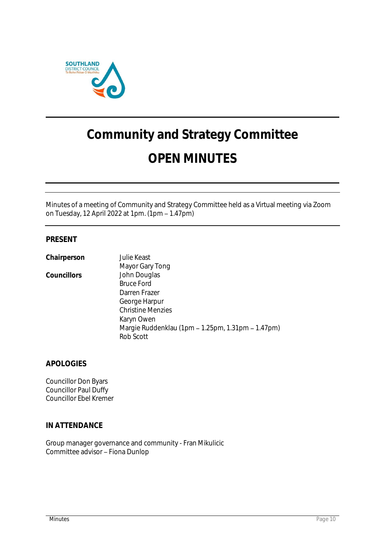

# **Community and Strategy Committee OPEN MINUTES**

Minutes of a meeting of Community and Strategy Committee held as a Virtual meeting via Zoom on Tuesday, 12 April 2022 at 1pm. (1pm - 1.47pm)

### **PRESENT**

| Chairperson | Julie Keast                                       |
|-------------|---------------------------------------------------|
|             | Mayor Gary Tong                                   |
| Councillors | John Douglas                                      |
|             | <b>Bruce Ford</b>                                 |
|             | Darren Frazer                                     |
|             | George Harpur                                     |
|             | <b>Christine Menzies</b>                          |
|             | Karyn Owen                                        |
|             | Margie Ruddenklau (1pm - 1.25pm, 1.31pm - 1.47pm) |
|             | Rob Scott                                         |

**APOLOGIES**

Councillor Don Byars Councillor Paul Duffy Councillor Ebel Kremer

#### **IN ATTENDANCE**

Group manager governance and community - Fran Mikulicic Committee advisor - Fiona Dunlop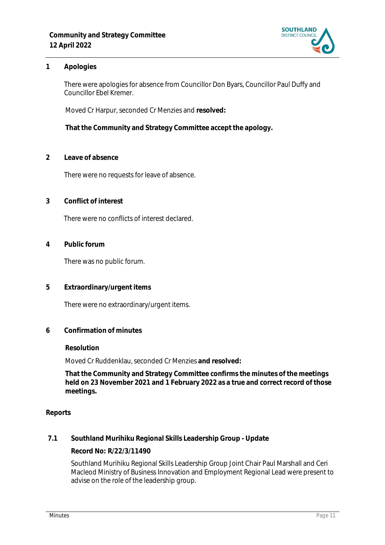

### **1 Apologies**

There were apologies for absence from Councillor Don Byars, Councillor Paul Duffy and Councillor Ebel Kremer.

Moved Cr Harpur, seconded Cr Menzies and **resolved:**

**That the Community and Strategy Committee accept the apology.**

**2 Leave of absence** 

There were no requests for leave of absence.

**3 Conflict of interest**

There were no conflicts of interest declared.

**4 Public forum**

There was no public forum.

**5 Extraordinary/urgent items**

There were no extraordinary/urgent items.

**6 Confirmation of minutes**

#### **Resolution**

Moved Cr Ruddenklau, seconded Cr Menzies **and resolved:**

**That the Community and Strategy Committee confirms the minutes of the meetings held on 23 November 2021 and 1 February 2022 as a true and correct record of those meetings.**

#### **Reports**

**7.1 Southland Murihiku Regional Skills Leadership Group - Update**

**Record No: R/22/3/11490**

Southland Murihiku Regional Skills Leadership Group Joint Chair Paul Marshall and Ceri Macleod Ministry of Business Innovation and Employment Regional Lead were present to advise on the role of the leadership group.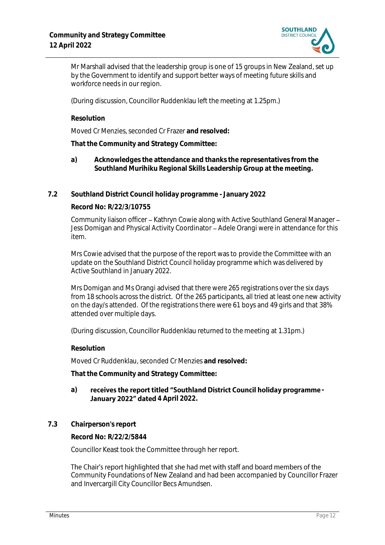

Mr Marshall advised that the leadership group is one of 15 groups in New Zealand, set up by the Government to identify and support better ways of meeting future skills and workforce needs in our region.

(During discussion, Councillor Ruddenklau left the meeting at 1.25pm.)

**Resolution**

Moved Cr Menzies, seconded Cr Frazer **and resolved:**

**That the Community and Strategy Committee:**

- **a) Acknowledges the attendance and thanks the representatives from the Southland Murihiku Regional Skills Leadership Group at the meeting.**
- **7.2 Southland District Council holiday programme - January 2022**

#### **Record No: R/22/3/10755**

Community liaison officer - Kathryn Cowie along with Active Southland General Manager -Jess Domigan and Physical Activity Coordinator - Adele Orangi were in attendance for this item.

Mrs Cowie advised that the purpose of the report was to provide the Committee with an update on the Southland District Council holiday programme which was delivered by Active Southland in January 2022.

Mrs Domigan and Ms Orangi advised that there were 265 registrations over the six days from 18 schools across the district. Of the 265 participants, all tried at least one new activity on the day/s attended. Of the registrations there were 61 boys and 49 girls and that 38% attended over multiple days.

(During discussion, Councillor Ruddenklau returned to the meeting at 1.31pm.)

**Resolution**

Moved Cr Ruddenklau, seconded Cr Menzies **and resolved:**

**That the Community and Strategy Committee:**

#### a) receives the report titled "Southland District Council holiday programme -**January 2022" dated 4 April 2022.**

**7.3 Chairperson's report**

**Record No: R/22/2/5844**

Councillor Keast took the Committee through her report.

The Chair's report highlighted that she had met with staff and board members of the Community Foundations of New Zealand and had been accompanied by Councillor Frazer and Invercargill City Councillor Becs Amundsen.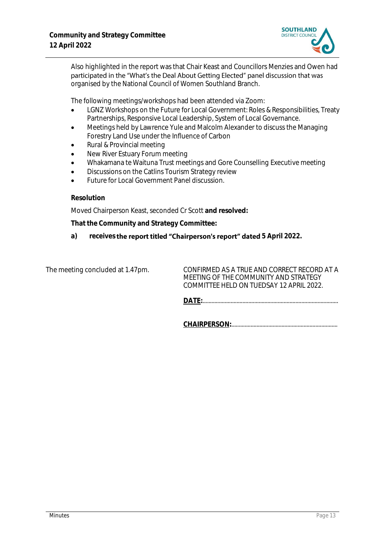

Also highlighted in the report was that Chair Keast and Councillors Menzies and Owen had participated in the "What's the Deal About Getting Elected" panel discussion that was organised by the National Council of Women Southland Branch.

The following meetings/workshops had been attended via Zoom:

- LGNZ Workshops on the Future for Local Government: Roles & Responsibilities, Treaty Partnerships, Responsive Local Leadership, System of Local Governance.
- Meetings held by Lawrence Yule and Malcolm Alexander to discuss the Managing Forestry Land Use under the Influence of Carbon
- Rural & Provincial meeting
- New River Estuary Forum meeting
- Whakamana te Waituna Trust meetings and Gore Counselling Executive meeting
- Discussions on the Catlins Tourism Strategy review
- Future for Local Government Panel discussion.

#### **Resolution**

Moved Chairperson Keast, seconded Cr Scott **and resolved:**

**That the Community and Strategy Committee:**

**a) receives 5 April 2022.**

The meeting concluded at 1.47pm. CONFIRMED AS A TRUE AND CORRECT RECORD AT A MEETING OF THE COMMUNITY AND STRATEGY COMMITTEE HELD ON TUEDSAY 12 APRIL 2022.

**DATE:**............................................................................................

**CHAIRPERSON:**........................................................................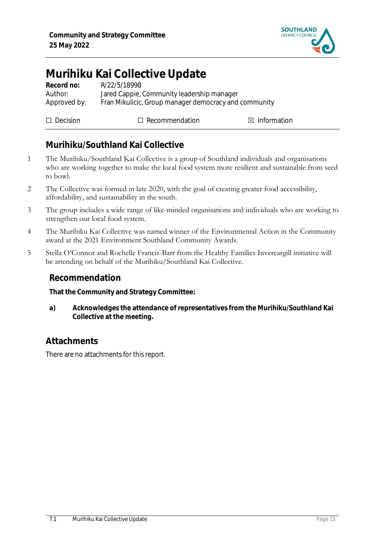

# <span id="page-14-0"></span>**Murihiku Kai Collective Update**

| Record no:   | R/22/5/18998                                          |
|--------------|-------------------------------------------------------|
| Author:      | Jared Cappie, Community leadership manager            |
| Approved by: | Fran Mikulicic, Group manager democracy and community |
|              |                                                       |

| $\Box$ Decision | $\Box$ Recommendation | $\boxtimes$ Information |
|-----------------|-----------------------|-------------------------|
|                 |                       |                         |

# **Murihiku/Southland Kai Collective**

- 1 The Murihiku/Southland Kai Collective is a group of Southland individuals and organisations who are working together to make the local food system more resilient and sustainable from seed to bowl.
- 2 The Collective was formed in late 2020, with the goal of creating greater food accessibility, affordability, and sustainability in the south.
- 3 The group includes a wide range of like-minded organisations and individuals who are working to strengthen our local food system.
- 4 The Murihiku Kai Collective was named winner of the Environmental Action in the Community award at the 2021 Environment Southland Community Awards.
- 5 Stella O'Connor and Rochelle Francis-Barr from the Healthy Families Invercargill initiative will be attending on behalf of the Murihiku/Southland Kai Collective.

# **Recommendation**

**That the Community and Strategy Committee:**

**a) Acknowledges the attendance of representatives from the Murihiku/Southland Kai Collective at the meeting.**

# **Attachments**

There are no attachments for this report.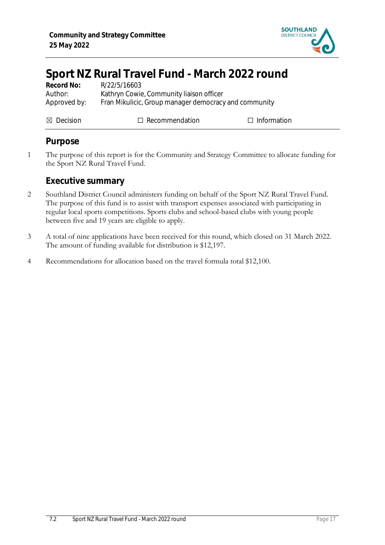

# <span id="page-16-0"></span>**Sport NZ Rural Travel Fund - March 2022 round**

| Record No:           | R/22/5/16603                                          |                    |
|----------------------|-------------------------------------------------------|--------------------|
| Author:              | Kathryn Cowie, Community liaison officer              |                    |
| Approved by:         | Fran Mikulicic, Group manager democracy and community |                    |
|                      |                                                       |                    |
| $\boxtimes$ Decision | $\Box$ Recommendation                                 | $\Box$ Information |

# **Purpose**

1 The purpose of this report is for the Community and Strategy Committee to allocate funding for the Sport NZ Rural Travel Fund.

**Executive summary**

- 2 Southland District Council administers funding on behalf of the Sport NZ Rural Travel Fund. The purpose of this fund is to assist with transport expenses associated with participating in regular local sports competitions. Sports clubs and school-based clubs with young people between five and 19 years are eligible to apply.
- 3 A total of nine applications have been received for this round, which closed on 31 March 2022. The amount of funding available for distribution is \$12,197.
- 4 Recommendations for allocation based on the travel formula total \$12,100.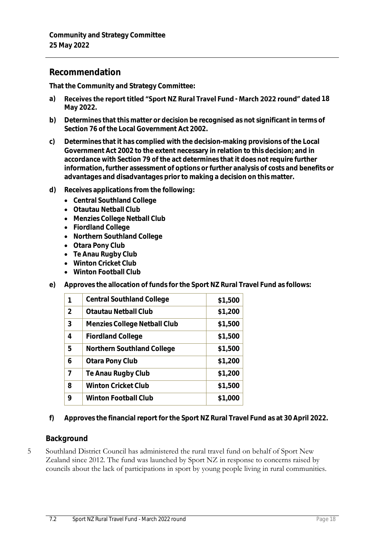# **Recommendation**

**That the Community and Strategy Committee:**

- a) Receives the report titled "Sport NZ Rural Travel Fund March 2022 round" dated 18 **May 2022.**
- **b) Determines that this matter or decision be recognised as not significant in terms of Section 76 of the Local Government Act 2002.**
- **c) Determines that it has complied with the decision-making provisions of the Local Government Act 2002 to the extent necessary in relation to this decision; and in accordance with Section 79 of the act determines that it does not require further information, further assessment of options or further analysis of costs and benefits or advantages and disadvantages prior to making a decision on this matter.**
- **d) Receives applications from the following:**
	- **Central Southland College**
	- **Otautau Netball Club**
	- **Menzies College Netball Club**
	- **Fiordland College**
	- **Northern Southland College**
	- **Otara Pony Club**
	- **Te Anau Rugby Club**
	- **Winton Cricket Club**
	- **Winton Football Club**
- **e) Approves the allocation of funds for the Sport NZ Rural Travel Fund as follows:**

|   | <b>Central Southland College</b> | \$1,500 |
|---|----------------------------------|---------|
| 2 | Otautau Netball Club             | \$1,200 |
| 3 | Menzies College Netball Club     | \$1,500 |
| 4 | <b>Fiordland College</b>         | \$1,500 |
| 5 | Northern Southland College       | \$1,500 |
| 6 | Otara Pony Club                  | \$1,200 |
| 7 | Te Anau Rugby Club               | \$1,200 |
| 8 | Winton Cricket Club              | \$1,500 |
| 9 | Winton Football Club             | \$1,000 |

**f) Approves the financial report for the Sport NZ Rural Travel Fund as at 30 April 2022.** 

# **Background**

5 Southland District Council has administered the rural travel fund on behalf of Sport New Zealand since 2012. The fund was launched by Sport NZ in response to concerns raised by councils about the lack of participations in sport by young people living in rural communities.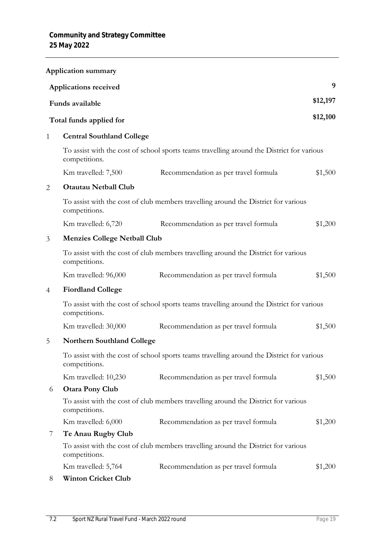|                                                                                                            | <b>Application summary</b>          |                                                                                           |          |  |
|------------------------------------------------------------------------------------------------------------|-------------------------------------|-------------------------------------------------------------------------------------------|----------|--|
|                                                                                                            | Applications received               |                                                                                           | 9        |  |
|                                                                                                            | Funds available                     |                                                                                           | \$12,197 |  |
|                                                                                                            | Total funds applied for             |                                                                                           | \$12,100 |  |
| $\mathbf{1}$                                                                                               | <b>Central Southland College</b>    |                                                                                           |          |  |
|                                                                                                            | competitions.                       | To assist with the cost of school sports teams travelling around the District for various |          |  |
|                                                                                                            | Km travelled: 7,500                 | Recommendation as per travel formula                                                      | \$1,500  |  |
| $\overline{2}$                                                                                             | <b>Otautau Netball Club</b>         |                                                                                           |          |  |
|                                                                                                            | competitions.                       | To assist with the cost of club members travelling around the District for various        |          |  |
|                                                                                                            | Km travelled: 6,720                 | Recommendation as per travel formula                                                      | \$1,200  |  |
| 3                                                                                                          | <b>Menzies College Netball Club</b> |                                                                                           |          |  |
|                                                                                                            | competitions.                       | To assist with the cost of club members travelling around the District for various        |          |  |
|                                                                                                            | Km travelled: 96,000                | Recommendation as per travel formula                                                      | \$1,500  |  |
| $\overline{4}$                                                                                             | <b>Fiordland College</b>            |                                                                                           |          |  |
|                                                                                                            | competitions.                       | To assist with the cost of school sports teams travelling around the District for various |          |  |
|                                                                                                            | Km travelled: 30,000                | Recommendation as per travel formula                                                      | \$1,500  |  |
| 5                                                                                                          | <b>Northern Southland College</b>   |                                                                                           |          |  |
| To assist with the cost of school sports teams travelling around the District for various<br>competitions. |                                     |                                                                                           |          |  |
|                                                                                                            | Km travelled: 10,230                | Recommendation as per travel formula                                                      | \$1,500  |  |
| 6                                                                                                          | <b>Otara Pony Club</b>              |                                                                                           |          |  |
|                                                                                                            | competitions.                       | To assist with the cost of club members travelling around the District for various        |          |  |
|                                                                                                            | Km travelled: 6,000                 | Recommendation as per travel formula                                                      | \$1,200  |  |
| 7                                                                                                          | Te Anau Rugby Club                  |                                                                                           |          |  |
|                                                                                                            | competitions.                       | To assist with the cost of club members travelling around the District for various        |          |  |
|                                                                                                            | Km travelled: 5,764                 | Recommendation as per travel formula                                                      | \$1,200  |  |
| 8                                                                                                          | <b>Winton Cricket Club</b>          |                                                                                           |          |  |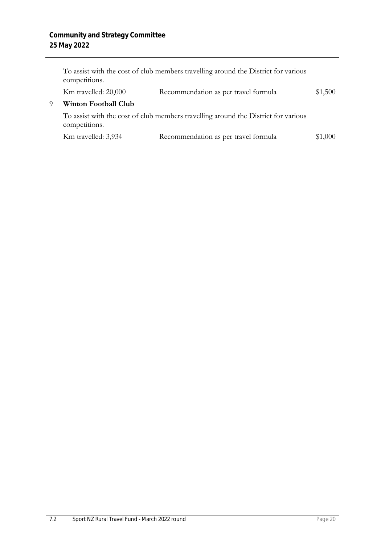|   | competitions.                                                                                       | To assist with the cost of club members travelling around the District for various |         |
|---|-----------------------------------------------------------------------------------------------------|------------------------------------------------------------------------------------|---------|
|   | Km travelled: 20,000                                                                                | Recommendation as per travel formula                                               | \$1,500 |
| Q | <b>Winton Football Club</b>                                                                         |                                                                                    |         |
|   | To assist with the cost of club members travelling around the District for various<br>competitions. |                                                                                    |         |
|   | Km travelled: 3,934                                                                                 | Recommendation as per travel formula                                               | \$1,000 |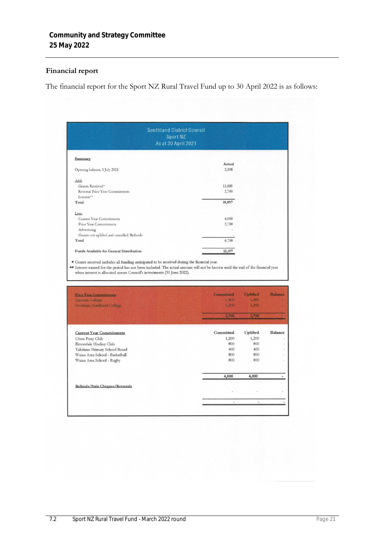# **Financial report**

The financial report for the Sport NZ Rural Travel Fund up to 30 April 2022 is as follows:

| Sport NZ<br>As at 30 April 2021                                                                                                                                                                                                                                                   | <b>Southland District Council</b> |                   |                                  |
|-----------------------------------------------------------------------------------------------------------------------------------------------------------------------------------------------------------------------------------------------------------------------------------|-----------------------------------|-------------------|----------------------------------|
| Summary                                                                                                                                                                                                                                                                           |                                   |                   |                                  |
|                                                                                                                                                                                                                                                                                   | Actual                            |                   |                                  |
| Opening balance, 1 July 2021                                                                                                                                                                                                                                                      | 2,308                             |                   |                                  |
| Add:                                                                                                                                                                                                                                                                              |                                   |                   |                                  |
| Grants Received*                                                                                                                                                                                                                                                                  | 13,889                            |                   |                                  |
| Reversal Prior Year Commitments                                                                                                                                                                                                                                                   | 2,700                             |                   |                                  |
| Interest**                                                                                                                                                                                                                                                                        |                                   |                   |                                  |
| Total                                                                                                                                                                                                                                                                             | 18,897                            |                   |                                  |
|                                                                                                                                                                                                                                                                                   |                                   |                   |                                  |
| Less:                                                                                                                                                                                                                                                                             |                                   |                   |                                  |
| <b>Current Year Commitments</b>                                                                                                                                                                                                                                                   | 4,000                             |                   |                                  |
| Prior Year Commitments                                                                                                                                                                                                                                                            | 2,700                             |                   |                                  |
| Advertising                                                                                                                                                                                                                                                                       |                                   |                   |                                  |
| Grants not uplifted and cancelled/Refunds                                                                                                                                                                                                                                         |                                   |                   |                                  |
| Total                                                                                                                                                                                                                                                                             | 6,700                             |                   |                                  |
| Funds Available for General Distribution                                                                                                                                                                                                                                          |                                   |                   |                                  |
| when interest is allocated across Council's investments (30 June 2022).                                                                                                                                                                                                           | 12,197                            |                   |                                  |
| <b>Prior Year Commitments</b>                                                                                                                                                                                                                                                     | Committed<br>1,500                | Uplifted<br>1,500 |                                  |
| * Grants received includes all funding anticipated to be received during the financial year.<br>** Interest earned for the period has not been included. The actual amount will not be known until the end of the financial year<br>Menzies College<br>Northern Southland College | 1.200.                            | 1,200             |                                  |
|                                                                                                                                                                                                                                                                                   | 2,700                             | 2,700             |                                  |
| <b>Current Year Commitments</b>                                                                                                                                                                                                                                                   | Committed                         | Uplifted          |                                  |
| Otara Pony Club                                                                                                                                                                                                                                                                   | 1,200                             | 1,200             |                                  |
| Riversdale Hockey Club                                                                                                                                                                                                                                                            | 800                               | 800               |                                  |
| Takitimu Primary School Board                                                                                                                                                                                                                                                     | 400                               | 400               |                                  |
| Waiau Area School - Basketball                                                                                                                                                                                                                                                    | 800                               | 800               | <b>Balance</b><br><b>Balance</b> |
| Waiau Area School - Rugby                                                                                                                                                                                                                                                         | 800                               | 800               |                                  |
|                                                                                                                                                                                                                                                                                   | 4,000                             | 4,000             |                                  |
| Refunds/Stale Cheques/Reversals                                                                                                                                                                                                                                                   |                                   |                   |                                  |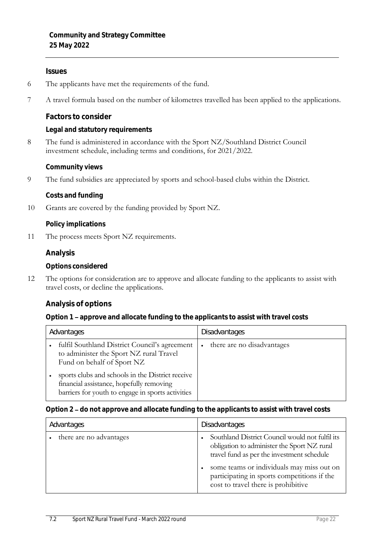#### **Issues**

- 6 The applicants have met the requirements of the fund.
- 7 A travel formula based on the number of kilometres travelled has been applied to the applications.

**Factors to consider**

**Legal and statutory requirements**

8 The fund is administered in accordance with the Sport NZ/Southland District Council investment schedule, including terms and conditions, for 2021/2022.

**Community views**

9 The fund subsidies are appreciated by sports and school-based clubs within the District.

**Costs and funding**

10 Grants are covered by the funding provided by Sport NZ.

**Policy implications**

11 The process meets Sport NZ requirements.

**Analysis**

**Options considered**

12 The options for consideration are to approve and allocate funding to the applicants to assist with travel costs, or decline the applications.

**Analysis of options**

**Option 1 approve and allocate funding to the applicants to assist with travel costs**

| Advantages |                                                                                                                                                   | Disadvantages              |
|------------|---------------------------------------------------------------------------------------------------------------------------------------------------|----------------------------|
|            | fulfil Southland District Council's agreement<br>to administer the Sport NZ rural Travel<br>Fund on behalf of Sport NZ                            | there are no disadvantages |
|            | sports clubs and schools in the District receive<br>financial assistance, hopefully removing<br>barriers for youth to engage in sports activities |                            |

#### Option 2 - do not approve and allocate funding to the applicants to assist with travel costs

| Advantages              | Disadvantages                                                                                                                                                                                                                                                                   |
|-------------------------|---------------------------------------------------------------------------------------------------------------------------------------------------------------------------------------------------------------------------------------------------------------------------------|
| there are no advantages | Southland District Council would not fulfil its<br>obligation to administer the Sport NZ rural<br>travel fund as per the investment schedule<br>some teams or individuals may miss out on<br>participating in sports competitions if the<br>cost to travel there is prohibitive |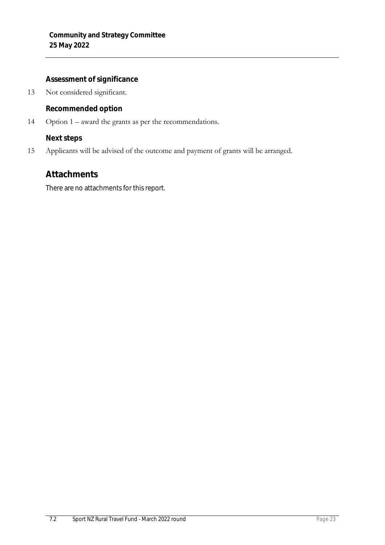**Assessment of significance**

13 Not considered significant.

**Recommended option**

14 Option 1 – award the grants as per the recommendations.

**Next steps**

15 Applicants will be advised of the outcome and payment of grants will be arranged.

# **Attachments**

There are no attachments for this report.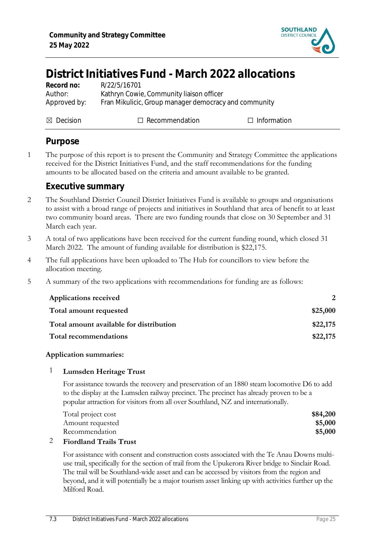

# <span id="page-24-0"></span>**District Initiatives Fund - March 2022 allocations**

| Record no:   | R/22/5/16701                                          |
|--------------|-------------------------------------------------------|
| Author:      | Kathryn Cowie, Community liaison officer              |
| Approved by: | Fran Mikulicic, Group manager democracy and community |

 $\boxtimes$  Decision  $\Box$  Recommendation  $\Box$  Information

# **Purpose**

1 The purpose of this report is to present the Community and Strategy Committee the applications received for the District Initiatives Fund, and the staff recommendations for the funding amounts to be allocated based on the criteria and amount available to be granted.

# **Executive summary**

- 2 The Southland District Council District Initiatives Fund is available to groups and organisations to assist with a broad range of projects and initiatives in Southland that area of benefit to at least two community board areas. There are two funding rounds that close on 30 September and 31 March each year.
- 3 A total of two applications have been received for the current funding round, which closed 31 March 2022. The amount of funding available for distribution is \$22,175.
- 4 The full applications have been uploaded to The Hub for councillors to view before the allocation meeting.
- 5 A summary of the two applications with recommendations for funding are as follows:

| <b>Applications received</b>            |          |
|-----------------------------------------|----------|
| Total amount requested                  | \$25,000 |
| Total amount available for distribution | \$22,175 |
| Total recommendations                   | \$22,175 |

# **Application summaries:**

# 1 **Lumsden Heritage Trust**

For assistance towards the recovery and preservation of an 1880 steam locomotive D6 to add to the display at the Lumsden railway precinct. The precinct has already proven to be a popular attraction for visitors from all over Southland, NZ and internationally.

| Total project cost | \$84,200 |
|--------------------|----------|
| Amount requested   | \$5,000  |
| Recommendation     | \$5,000  |
|                    |          |

# 2 **Fiordland Trails Trust**

For assistance with consent and construction costs associated with the Te Anau Downs multiuse trail, specifically for the section of trail from the Upukerora River bridge to Sinclair Road. The trail will be Southland-wide asset and can be accessed by visitors from the region and beyond, and it will potentially be a major tourism asset linking up with activities further up the Milford Road.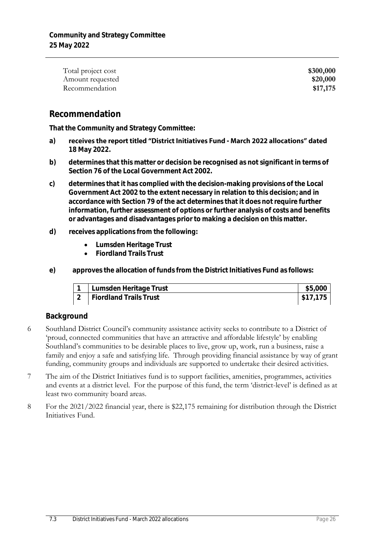| Total project cost | \$300,000 |
|--------------------|-----------|
| Amount requested   | \$20,000  |
| Recommendation     | \$17,175  |

# **Recommendation**

**That the Community and Strategy Committee:**

- a) receives the report titled "District Initiatives Fund March 2022 allocations" dated **18 May 2022.**
- **b) determines that this matter or decision be recognised as not significant in terms of Section 76 of the Local Government Act 2002.**
- **c) determines that it has complied with the decision-making provisions of the Local Government Act 2002 to the extent necessary in relation to this decision; and in accordance with Section 79 of the act determines that it does not require further information, further assessment of options or further analysis of costs and benefits or advantages and disadvantages prior to making a decision on this matter.**
- **d) receives applications from the following:**
	- **Lumsden Heritage Trust**
	- **Fiordland Trails Trust**
- **e) approves the allocation of funds from the District Initiatives Fund as follows:**

| Lumsden Heritage Trust        | \$5,000  |
|-------------------------------|----------|
| <b>Fiordland Trails Trust</b> | \$17.175 |

# **Background**

- 6 Southland District Council's community assistance activity seeks to contribute to a District of 'proud, connected communities that have an attractive and affordable lifestyle' by enabling Southland's communities to be desirable places to live, grow up, work, run a business, raise a family and enjoy a safe and satisfying life. Through providing financial assistance by way of grant funding, community groups and individuals are supported to undertake their desired activities.
- 7 The aim of the District Initiatives fund is to support facilities, amenities, programmes, activities and events at a district level. For the purpose of this fund, the term 'district-level' is defined as at least two community board areas.
- 8 For the 2021/2022 financial year, there is \$22,175 remaining for distribution through the District Initiatives Fund.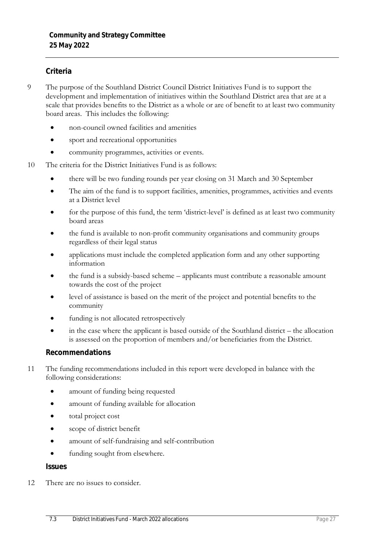#### **Criteria**

- 9 The purpose of the Southland District Council District Initiatives Fund is to support the development and implementation of initiatives within the Southland District area that are at a scale that provides benefits to the District as a whole or are of benefit to at least two community board areas. This includes the following:
	- non-council owned facilities and amenities
	- sport and recreational opportunities
	- community programmes, activities or events.
- 10 The criteria for the District Initiatives Fund is as follows:
	- there will be two funding rounds per year closing on 31 March and 30 September
	- The aim of the fund is to support facilities, amenities, programmes, activities and events at a District level
	- for the purpose of this fund, the term 'district-level' is defined as at least two community board areas
	- the fund is available to non-profit community organisations and community groups regardless of their legal status
	- applications must include the completed application form and any other supporting information
	- the fund is a subsidy-based scheme applicants must contribute a reasonable amount towards the cost of the project
	- level of assistance is based on the merit of the project and potential benefits to the community
	- funding is not allocated retrospectively
	- in the case where the applicant is based outside of the Southland district the allocation is assessed on the proportion of members and/or beneficiaries from the District.

#### **Recommendations**

- 11 The funding recommendations included in this report were developed in balance with the following considerations:
	- amount of funding being requested
	- amount of funding available for allocation
	- total project cost
	- scope of district benefit
	- amount of self-fundraising and self-contribution
	- funding sought from elsewhere.

**Issues**

12 There are no issues to consider.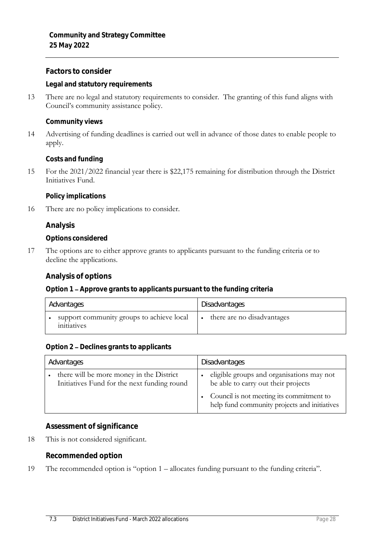**Factors to consider**

**Legal and statutory requirements**

13 There are no legal and statutory requirements to consider. The granting of this fund aligns with Council's community assistance policy.

**Community views**

14 Advertising of funding deadlines is carried out well in advance of those dates to enable people to apply.

**Costs and funding**

15 For the 2021/2022 financial year there is \$22,175 remaining for distribution through the District Initiatives Fund.

**Policy implications**

16 There are no policy implications to consider.

**Analysis**

**Options considered**

17 The options are to either approve grants to applicants pursuant to the funding criteria or to decline the applications.

**Analysis of options**

**Option 1 Approve grants to applicants pursuant to the funding criteria**

| Advantages                                               | Disadvantages              |
|----------------------------------------------------------|----------------------------|
| support community groups to achieve local<br>initiatives | there are no disadvantages |

Option 2 - Declines grants to applicants

| Advantages                                                                              | Disadvantages                                                                                                                                                                |
|-----------------------------------------------------------------------------------------|------------------------------------------------------------------------------------------------------------------------------------------------------------------------------|
| there will be more money in the District<br>Initiatives Fund for the next funding round | eligible groups and organisations may not<br>be able to carry out their projects<br>Council is not meeting its commitment to<br>help fund community projects and initiatives |

**Assessment of significance**

18 This is not considered significant.

**Recommended option**

19 The recommended option is "option 1 – allocates funding pursuant to the funding criteria".